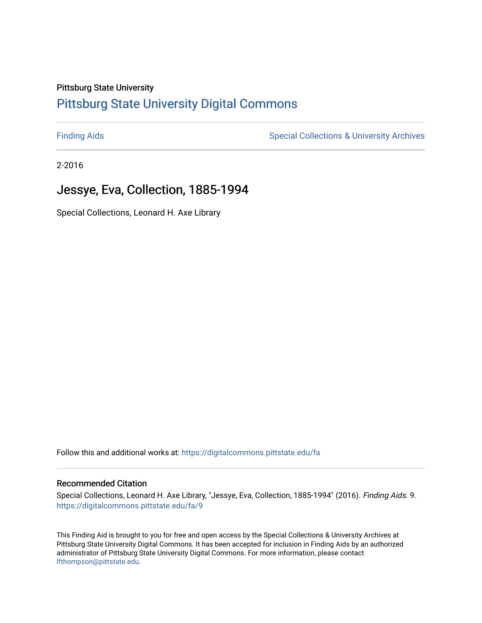#### Pittsburg State University

# [Pittsburg State University Digital Commons](https://digitalcommons.pittstate.edu/)

[Finding Aids](https://digitalcommons.pittstate.edu/fa) **Special Collections & University Archives** Special Collections & University Archives

2-2016

# Jessye, Eva, Collection, 1885-1994

Special Collections, Leonard H. Axe Library

Follow this and additional works at: [https://digitalcommons.pittstate.edu/fa](https://digitalcommons.pittstate.edu/fa?utm_source=digitalcommons.pittstate.edu%2Ffa%2F9&utm_medium=PDF&utm_campaign=PDFCoverPages) 

#### Recommended Citation

Special Collections, Leonard H. Axe Library, "Jessye, Eva, Collection, 1885-1994" (2016). Finding Aids. 9. [https://digitalcommons.pittstate.edu/fa/9](https://digitalcommons.pittstate.edu/fa/9?utm_source=digitalcommons.pittstate.edu%2Ffa%2F9&utm_medium=PDF&utm_campaign=PDFCoverPages) 

This Finding Aid is brought to you for free and open access by the Special Collections & University Archives at Pittsburg State University Digital Commons. It has been accepted for inclusion in Finding Aids by an authorized administrator of Pittsburg State University Digital Commons. For more information, please contact [lfthompson@pittstate.edu.](mailto:lfthompson@pittstate.edu)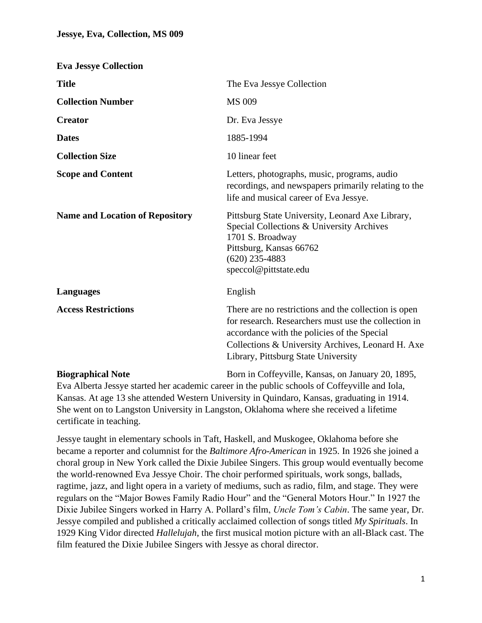**Eva Jessye Collection**

| <b>Title</b>                           | The Eva Jessye Collection                                                                                                                                                                                                                               |
|----------------------------------------|---------------------------------------------------------------------------------------------------------------------------------------------------------------------------------------------------------------------------------------------------------|
| <b>Collection Number</b>               | <b>MS 009</b>                                                                                                                                                                                                                                           |
| <b>Creator</b>                         | Dr. Eva Jessye                                                                                                                                                                                                                                          |
| <b>Dates</b>                           | 1885-1994                                                                                                                                                                                                                                               |
| <b>Collection Size</b>                 | 10 linear feet                                                                                                                                                                                                                                          |
| <b>Scope and Content</b>               | Letters, photographs, music, programs, audio<br>recordings, and newspapers primarily relating to the<br>life and musical career of Eva Jessye.                                                                                                          |
| <b>Name and Location of Repository</b> | Pittsburg State University, Leonard Axe Library,<br>Special Collections & University Archives<br>1701 S. Broadway<br>Pittsburg, Kansas 66762<br>$(620)$ 235-4883<br>speccol@pittstate.edu                                                               |
| <b>Languages</b>                       | English                                                                                                                                                                                                                                                 |
| <b>Access Restrictions</b>             | There are no restrictions and the collection is open<br>for research. Researchers must use the collection in<br>accordance with the policies of the Special<br>Collections & University Archives, Leonard H. Axe<br>Library, Pittsburg State University |
|                                        | $\sim$ $\sim$ $\sim$ $\sim$ $\sim$                                                                                                                                                                                                                      |

**Biographical Note** Born in Coffeyville, Kansas, on January 20, 1895,

Eva Alberta Jessye started her academic career in the public schools of Coffeyville and Iola, Kansas. At age 13 she attended Western University in Quindaro, Kansas, graduating in 1914. She went on to Langston University in Langston, Oklahoma where she received a lifetime certificate in teaching.

Jessye taught in elementary schools in Taft, Haskell, and Muskogee, Oklahoma before she became a reporter and columnist for the *Baltimore Afro-American* in 1925. In 1926 she joined a choral group in New York called the Dixie Jubilee Singers. This group would eventually become the world-renowned Eva Jessye Choir. The choir performed spirituals, work songs, ballads, ragtime, jazz, and light opera in a variety of mediums, such as radio, film, and stage. They were regulars on the "Major Bowes Family Radio Hour" and the "General Motors Hour." In 1927 the Dixie Jubilee Singers worked in Harry A. Pollard's film, *Uncle Tom's Cabin*. The same year, Dr. Jessye compiled and published a critically acclaimed collection of songs titled *My Spirituals*. In 1929 King Vidor directed *Hallelujah*, the first musical motion picture with an all-Black cast. The film featured the Dixie Jubilee Singers with Jessye as choral director.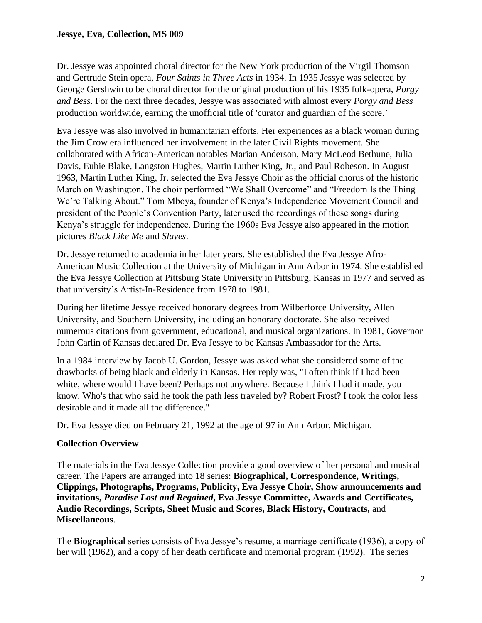Dr. Jessye was appointed choral director for the New York production of the Virgil Thomson and Gertrude Stein opera, *Four Saints in Three Acts* in 1934. In 1935 Jessye was selected by George Gershwin to be choral director for the original production of his 1935 folk-opera, *Porgy and Bess*. For the next three decades, Jessye was associated with almost every *Porgy and Bess* production worldwide, earning the unofficial title of 'curator and guardian of the score.'

Eva Jessye was also involved in humanitarian efforts. Her experiences as a black woman during the Jim Crow era influenced her involvement in the later Civil Rights movement. She collaborated with African-American notables Marian Anderson, Mary McLeod Bethune, Julia Davis, Eubie Blake, Langston Hughes, Martin Luther King, Jr., and Paul Robeson. In August 1963, Martin Luther King, Jr. selected the Eva Jessye Choir as the official chorus of the historic March on Washington. The choir performed "We Shall Overcome" and "Freedom Is the Thing We're Talking About." Tom Mboya, founder of Kenya's Independence Movement Council and president of the People's Convention Party, later used the recordings of these songs during Kenya's struggle for independence. During the 1960s Eva Jessye also appeared in the motion pictures *Black Like Me* and *Slaves*.

Dr. Jessye returned to academia in her later years. She established the Eva Jessye Afro-American Music Collection at the University of Michigan in Ann Arbor in 1974. She established the Eva Jessye Collection at Pittsburg State University in Pittsburg, Kansas in 1977 and served as that university's Artist-In-Residence from 1978 to 1981.

During her lifetime Jessye received honorary degrees from Wilberforce University, Allen University, and Southern University, including an honorary doctorate. She also received numerous citations from government, educational, and musical organizations. In 1981, Governor John Carlin of Kansas declared Dr. Eva Jessye to be Kansas Ambassador for the Arts.

In a 1984 interview by Jacob U. Gordon, Jessye was asked what she considered some of the drawbacks of being black and elderly in Kansas. Her reply was, "I often think if I had been white, where would I have been? Perhaps not anywhere. Because I think I had it made, you know. Who's that who said he took the path less traveled by? Robert Frost? I took the color less desirable and it made all the difference."

Dr. Eva Jessye died on February 21, 1992 at the age of 97 in Ann Arbor, Michigan.

# **Collection Overview**

The materials in the Eva Jessye Collection provide a good overview of her personal and musical career. The Papers are arranged into 18 series: **Biographical, Correspondence, Writings, Clippings, Photographs, Programs, Publicity, Eva Jessye Choir, Show announcements and invitations,** *Paradise Lost and Regained***, Eva Jessye Committee, Awards and Certificates, Audio Recordings, Scripts, Sheet Music and Scores, Black History, Contracts,** and **Miscellaneous**.

The **Biographical** series consists of Eva Jessye's resume, a marriage certificate (1936), a copy of her will (1962), and a copy of her death certificate and memorial program (1992). The series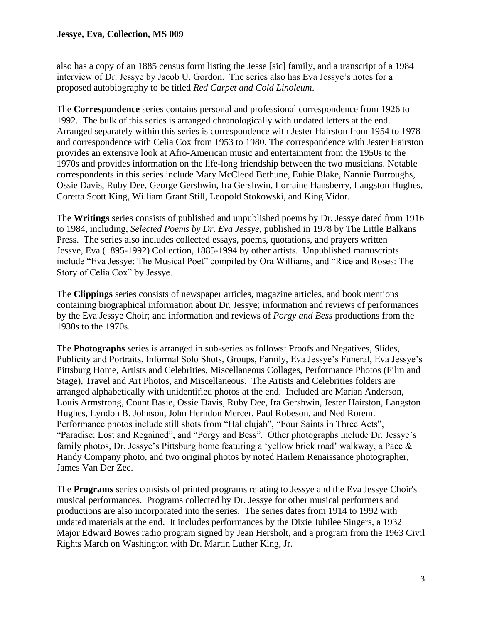also has a copy of an 1885 census form listing the Jesse [sic] family, and a transcript of a 1984 interview of Dr. Jessye by Jacob U. Gordon. The series also has Eva Jessye's notes for a proposed autobiography to be titled *Red Carpet and Cold Linoleum*.

The **Correspondence** series contains personal and professional correspondence from 1926 to 1992. The bulk of this series is arranged chronologically with undated letters at the end. Arranged separately within this series is correspondence with Jester Hairston from 1954 to 1978 and correspondence with Celia Cox from 1953 to 1980. The correspondence with Jester Hairston provides an extensive look at Afro-American music and entertainment from the 1950s to the 1970s and provides information on the life-long friendship between the two musicians. Notable correspondents in this series include Mary McCleod Bethune, Eubie Blake, Nannie Burroughs, Ossie Davis, Ruby Dee, George Gershwin, Ira Gershwin, Lorraine Hansberry, Langston Hughes, Coretta Scott King, William Grant Still, Leopold Stokowski, and King Vidor.

The **Writings** series consists of published and unpublished poems by Dr. Jessye dated from 1916 to 1984, including, *Selected Poems by Dr. Eva Jessye*, published in 1978 by The Little Balkans Press. The series also includes collected essays, poems, quotations, and prayers written Jessye, Eva (1895-1992) Collection, 1885-1994 by other artists. Unpublished manuscripts include "Eva Jessye: The Musical Poet" compiled by Ora Williams, and "Rice and Roses: The Story of Celia Cox" by Jessye.

The **Clippings** series consists of newspaper articles, magazine articles, and book mentions containing biographical information about Dr. Jessye; information and reviews of performances by the Eva Jessye Choir; and information and reviews of *Porgy and Bess* productions from the 1930s to the 1970s.

The **Photographs** series is arranged in sub-series as follows: Proofs and Negatives, Slides, Publicity and Portraits, Informal Solo Shots, Groups, Family, Eva Jessye's Funeral, Eva Jessye's Pittsburg Home, Artists and Celebrities, Miscellaneous Collages, Performance Photos (Film and Stage), Travel and Art Photos, and Miscellaneous. The Artists and Celebrities folders are arranged alphabetically with unidentified photos at the end. Included are Marian Anderson, Louis Armstrong, Count Basie, Ossie Davis, Ruby Dee, Ira Gershwin, Jester Hairston, Langston Hughes, Lyndon B. Johnson, John Herndon Mercer, Paul Robeson, and Ned Rorem. Performance photos include still shots from "Hallelujah", "Four Saints in Three Acts", "Paradise: Lost and Regained", and "Porgy and Bess". Other photographs include Dr. Jessye's family photos, Dr. Jessye's Pittsburg home featuring a 'yellow brick road' walkway, a Pace & Handy Company photo, and two original photos by noted Harlem Renaissance photographer, James Van Der Zee.

The **Programs** series consists of printed programs relating to Jessye and the Eva Jessye Choir's musical performances. Programs collected by Dr. Jessye for other musical performers and productions are also incorporated into the series. The series dates from 1914 to 1992 with undated materials at the end. It includes performances by the Dixie Jubilee Singers, a 1932 Major Edward Bowes radio program signed by Jean Hersholt, and a program from the 1963 Civil Rights March on Washington with Dr. Martin Luther King, Jr.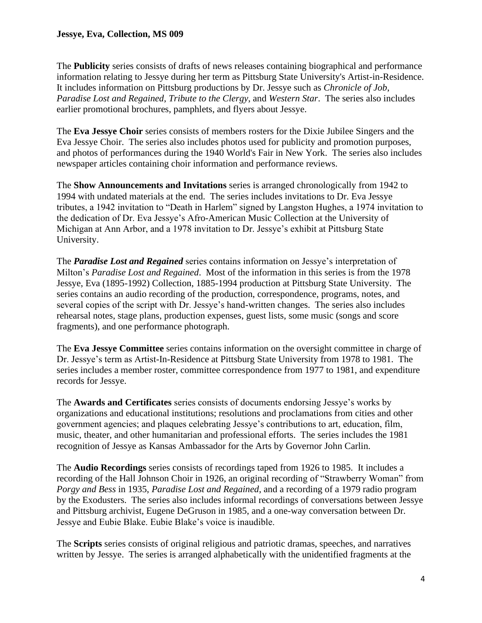The **Publicity** series consists of drafts of news releases containing biographical and performance information relating to Jessye during her term as Pittsburg State University's Artist-in-Residence. It includes information on Pittsburg productions by Dr. Jessye such as *Chronicle of Job*, *Paradise Lost and Regained*, *Tribute to the Clergy*, and *Western Star*. The series also includes earlier promotional brochures, pamphlets, and flyers about Jessye.

The **Eva Jessye Choir** series consists of members rosters for the Dixie Jubilee Singers and the Eva Jessye Choir. The series also includes photos used for publicity and promotion purposes, and photos of performances during the 1940 World's Fair in New York. The series also includes newspaper articles containing choir information and performance reviews.

The **Show Announcements and Invitations** series is arranged chronologically from 1942 to 1994 with undated materials at the end. The series includes invitations to Dr. Eva Jessye tributes, a 1942 invitation to "Death in Harlem" signed by Langston Hughes, a 1974 invitation to the dedication of Dr. Eva Jessye's Afro-American Music Collection at the University of Michigan at Ann Arbor, and a 1978 invitation to Dr. Jessye's exhibit at Pittsburg State University.

The *[Paradise Lost and Regained](http://axe.pittstate.edu/spcoll/JessyeEva.dot#paradise2)* series contains information on Jessye's interpretation of Milton's *Paradise Lost and Regained*. Most of the information in this series is from the 1978 Jessye, Eva (1895-1992) Collection, 1885-1994 production at Pittsburg State University. The series contains an audio recording of the production, correspondence, programs, notes, and several copies of the script with Dr. Jessye's hand-written changes. The series also includes rehearsal notes, stage plans, production expenses, guest lists, some music (songs and score fragments), and one performance photograph.

The **Eva Jessye Committee** series contains information on the oversight committee in charge of Dr. Jessye's term as Artist-In-Residence at Pittsburg State University from 1978 to 1981. The series includes a member roster, committee correspondence from 1977 to 1981, and expenditure records for Jessye.

The **Awards and Certificates** series consists of documents endorsing Jessye's works by organizations and educational institutions; resolutions and proclamations from cities and other government agencies; and plaques celebrating Jessye's contributions to art, education, film, music, theater, and other humanitarian and professional efforts. The series includes the 1981 recognition of Jessye as Kansas Ambassador for the Arts by Governor John Carlin.

The **Audio Recordings** series consists of recordings taped from 1926 to 1985. It includes a recording of the Hall Johnson Choir in 1926, an original recording of "Strawberry Woman" from *Porgy and Bess* in 1935, *Paradise Lost and Regained*, and a recording of a 1979 radio program by the Exodusters. The series also includes informal recordings of conversations between Jessye and Pittsburg archivist, Eugene DeGruson in 1985, and a one-way conversation between Dr. Jessye and Eubie Blake. Eubie Blake's voice is inaudible.

The **Scripts** series consists of original religious and patriotic dramas, speeches, and narratives written by Jessye. The series is arranged alphabetically with the unidentified fragments at the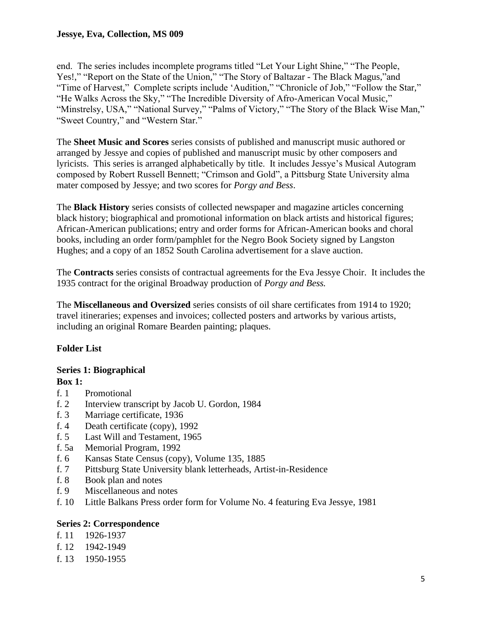end. The series includes incomplete programs titled "Let Your Light Shine," "The People, Yes!," "Report on the State of the Union," "The Story of Baltazar - The Black Magus,"and "Time of Harvest," Complete scripts include 'Audition," "Chronicle of Job," "Follow the Star," "He Walks Across the Sky," "The Incredible Diversity of Afro-American Vocal Music," "Minstrelsy, USA," "National Survey," "Palms of Victory," "The Story of the Black Wise Man," "Sweet Country," and "Western Star."

The **Sheet Music and Scores** series consists of published and manuscript music authored or arranged by Jessye and copies of published and manuscript music by other composers and lyricists. This series is arranged alphabetically by title. It includes Jessye's Musical Autogram composed by Robert Russell Bennett; "Crimson and Gold", a Pittsburg State University alma mater composed by Jessye; and two scores for *Porgy and Bess*.

The **Black History** series consists of collected newspaper and magazine articles concerning black history; biographical and promotional information on black artists and historical figures; African-American publications; entry and order forms for African-American books and choral books, including an order form/pamphlet for the Negro Book Society signed by Langston Hughes; and a copy of an 1852 South Carolina advertisement for a slave auction.

The **Contracts** series consists of contractual agreements for the Eva Jessye Choir. It includes the 1935 contract for the original Broadway production of *Porgy and Bess.*

The **Miscellaneous and Oversized** series consists of oil share certificates from 1914 to 1920; travel itineraries; expenses and invoices; collected posters and artworks by various artists, including an original Romare Bearden painting; plaques.

# **Folder List**

# **Series 1: Biographical**

# **Box 1:**

- f. 1 Promotional
- f. 2 Interview transcript by Jacob U. Gordon, 1984
- f. 3 Marriage certificate, 1936
- f. 4 Death certificate (copy), 1992
- f. 5 Last Will and Testament, 1965
- f. 5a Memorial Program, 1992
- f. 6 Kansas State Census (copy), Volume 135, 1885
- f. 7 Pittsburg State University blank letterheads, Artist-in-Residence
- f. 8 Book plan and notes
- f. 9 Miscellaneous and notes
- f. 10 Little Balkans Press order form for Volume No. 4 featuring Eva Jessye, 1981

#### **Series 2: Correspondence**

- f. 11 1926-1937
- f. 12 1942-1949
- f. 13 1950-1955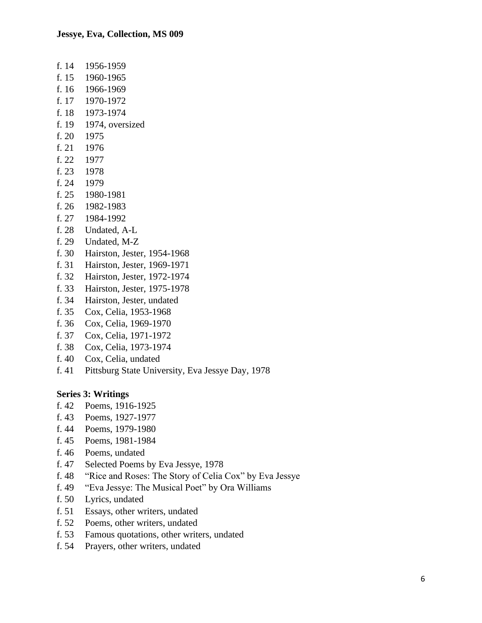- f. 14 1956-1959
- f. 15 1960-1965
- f. 16 1966-1969
- f. 17 1970-1972
- f. 18 1973-1974
- f. 19 1974, oversized
- f. 20 1975
- f. 21 1976
- f. 22 1977
- f. 23 1978
- f. 24 1979
- f. 25 1980-1981
- f. 26 1982-1983
- f. 27 1984-1992
- f. 28 Undated, A-L
- f. 29 Undated, M-Z
- f. 30 Hairston, Jester, 1954-1968
- f. 31 Hairston, Jester, 1969-1971
- f. 32 Hairston, Jester, 1972-1974
- f. 33 Hairston, Jester, 1975-1978
- f. 34 Hairston, Jester, undated
- f. 35 Cox, Celia, 1953-1968
- f. 36 Cox, Celia, 1969-1970
- f. 37 Cox, Celia, 1971-1972
- f. 38 Cox, Celia, 1973-1974
- f. 40 Cox, Celia, undated
- f. 41 Pittsburg State University, Eva Jessye Day, 1978

#### **Series 3: Writings**

- f. 42 Poems, 1916-1925
- f. 43 Poems, 1927-1977
- f. 44 Poems, 1979-1980
- f. 45 Poems, 1981-1984
- f. 46 Poems, undated
- f. 47 Selected Poems by Eva Jessye, 1978
- f. 48 "Rice and Roses: The Story of Celia Cox" by Eva Jessye
- f. 49 "Eva Jessye: The Musical Poet" by Ora Williams
- f. 50 Lyrics, undated
- f. 51 Essays, other writers, undated
- f. 52 Poems, other writers, undated
- f. 53 Famous quotations, other writers, undated
- f. 54 Prayers, other writers, undated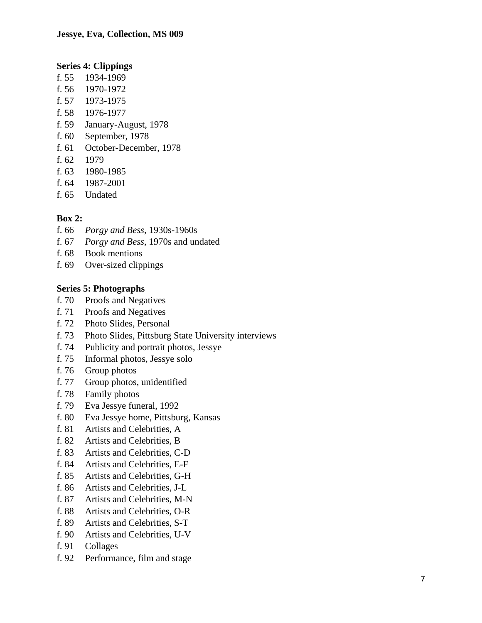# **Series 4: Clippings**

- f. 55 1934-1969
- f. 56 1970-1972
- f. 57 1973-1975
- f. 58 1976-1977
- f. 59 January-August, 1978
- f. 60 September, 1978
- f. 61 October-December, 1978
- f. 62 1979
- f. 63 1980-1985
- f. 64 1987-2001
- f. 65 Undated

# **Box 2:**

- f. 66 *Porgy and Bess*, 1930s-1960s
- f. 67 *Porgy and Bess*, 1970s and undated
- f. 68 Book mentions
- f. 69 Over-sized clippings

# **Series 5: Photographs**

- f. 70 Proofs and Negatives
- f. 71 Proofs and Negatives
- f. 72 Photo Slides, Personal
- f. 73 Photo Slides, Pittsburg State University interviews
- f. 74 Publicity and portrait photos, Jessye
- f. 75 Informal photos, Jessye solo
- f. 76 Group photos
- f. 77 Group photos, unidentified
- f. 78 Family photos
- f. 79 Eva Jessye funeral, 1992
- f. 80 Eva Jessye home, Pittsburg, Kansas
- f. 81 Artists and Celebrities, A
- f. 82 Artists and Celebrities, B
- f. 83 Artists and Celebrities, C-D
- f. 84 Artists and Celebrities, E-F
- f. 85 Artists and Celebrities, G-H
- f. 86 Artists and Celebrities, J-L
- f. 87 Artists and Celebrities, M-N
- f. 88 Artists and Celebrities, O-R
- f. 89 Artists and Celebrities, S-T
- f. 90 Artists and Celebrities, U-V
- f. 91 Collages
- f. 92 Performance, film and stage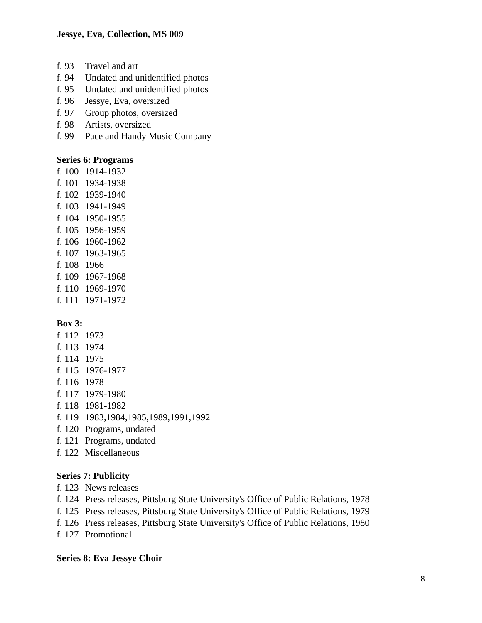- f. 93 Travel and art
- f. 94 Undated and unidentified photos
- f. 95 Undated and unidentified photos
- f. 96 Jessye, Eva, oversized
- f. 97 Group photos, oversized
- f. 98 Artists, oversized
- f. 99 Pace and Handy Music Company

#### **Series 6: Programs**

- f. 100 1914-1932
- f. 101 1934-1938
- f. 102 1939-1940
- f. 103 1941-1949
- f. 104 1950-1955
- f. 105 1956-1959
- f. 106 1960-1962
- f. 107 1963-1965
- f. 108 1966
- f. 109 1967-1968
- f. 110 1969-1970
- f. 111 1971-1972

#### **Box 3:**

- f. 112 1973
- f. 113 1974
- f. 114 1975
- f. 115 1976-1977
- f. 116 1978
- f. 117 1979-1980
- f. 118 1981-1982
- f. 119 1983,1984,1985,1989,1991,1992
- f. 120 Programs, undated
- f. 121 Programs, undated
- f. 122 Miscellaneous

#### **Series 7: Publicity**

- f. 123 News releases
- f. 124 Press releases, Pittsburg State University's Office of Public Relations, 1978
- f. 125 Press releases, Pittsburg State University's Office of Public Relations, 1979
- f. 126 Press releases, Pittsburg State University's Office of Public Relations, 1980
- f. 127 Promotional

#### **Series 8: Eva Jessye Choir**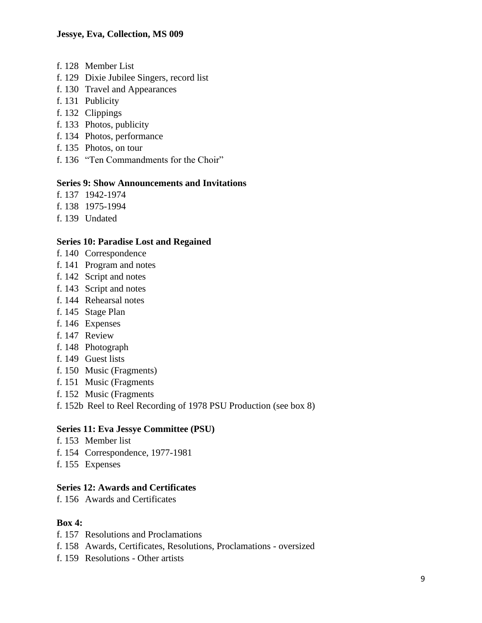- f. 128 Member List
- f. 129 Dixie Jubilee Singers, record list
- f. 130 Travel and Appearances
- f. 131 Publicity
- f. 132 Clippings
- f. 133 Photos, publicity
- f. 134 Photos, performance
- f. 135 Photos, on tour
- f. 136 "Ten Commandments for the Choir"

#### **Series 9: Show Announcements and Invitations**

- f. 137 1942-1974
- f. 138 1975-1994
- f. 139 Undated

#### **Series 10: Paradise Lost and Regained**

- f. 140 Correspondence
- f. 141 Program and notes
- f. 142 Script and notes
- f. 143 Script and notes
- f. 144 Rehearsal notes
- f. 145 Stage Plan
- f. 146 Expenses
- f. 147 Review
- f. 148 Photograph
- f. 149 Guest lists
- f. 150 Music (Fragments)
- f. 151 Music (Fragments
- f. 152 Music (Fragments
- f. 152b Reel to Reel Recording of 1978 PSU Production (see box 8)

#### **Series 11: Eva Jessye Committee (PSU)**

- f. 153 Member list
- f. 154 Correspondence, 1977-1981
- f. 155 Expenses

### **Series 12: Awards and Certificates**

f. 156 Awards and Certificates

#### **Box 4:**

- f. 157 Resolutions and Proclamations
- f. 158 Awards, Certificates, Resolutions, Proclamations oversized
- f. 159 Resolutions Other artists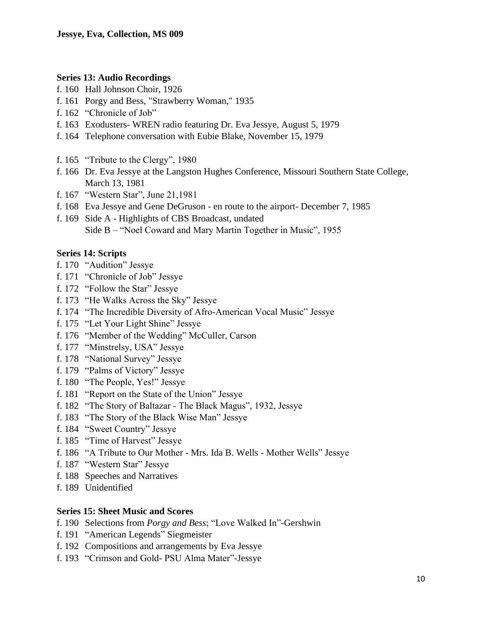### **Series 13: Audio Recordings**

- f. 160 Hall Johnson Choir, 1926
- f. 161 Porgy and Bess, "Strawberry Woman," 1935
- f. 162 "Chronicle of Job"
- f. 163 Exodusters- WREN radio featuring Dr. Eva Jessye, August 5, 1979
- f. 164 Telephone conversation with Eubie Blake, November 15, 1979
- f. 165 "Tribute to the Clergy", 1980
- f. 166 Dr. Eva Jessye at the Langston Hughes Conference, Missouri Southern State College, March 13, 1981
- f. 167 "Western Star", June 21,1981
- f. 168 Eva Jessye and Gene DeGruson en route to the airport- December 7, 1985
- f. 169 Side A Highlights of CBS Broadcast, undated Side B – "Noel Coward and Mary Martin Together in Music", 1955

#### **Series 14: Scripts**

- f. 170 "Audition" Jessye
- f. 171 "Chronicle of Job" Jessye
- f. 172 "Follow the Star" Jessye
- f. 173 "He Walks Across the Sky" Jessye
- f. 174 "The Incredible Diversity of Afro-American Vocal Music" Jessye
- f. 175 "Let Your Light Shine" Jessye
- f. 176 "Member of the Wedding" McCuller, Carson
- f. 177 "Minstrelsy, USA" Jessye
- f. 178 "National Survey" Jessye
- f. 179 "Palms of Victory" Jessye
- f. 180 "The People, Yes!" Jessye
- f. 181 "Report on the State of the Union" Jessye
- f. 182 "The Story of Baltazar The Black Magus", 1932, Jessye
- f. 183 "The Story of the Black Wise Man" Jessye
- f. 184 "Sweet Country" Jessye
- f. 185 "Time of Harvest" Jessye
- f. 186 "A Tribute to Our Mother Mrs. Ida B. Wells Mother Wells" Jessye
- f. 187 "Western Star" Jessye
- f. 188 Speeches and Narratives
- f. 189 Unidentified

#### **Series 15: Sheet Music and Scores**

- f. 190 Selections from *Porgy and Bess*; "Love Walked In"-Gershwin
- f. 191 "American Legends" Siegmeister
- f. 192 Compositions and arrangements by Eva Jessye
- f. 193 "Crimson and Gold- PSU Alma Mater"-Jessye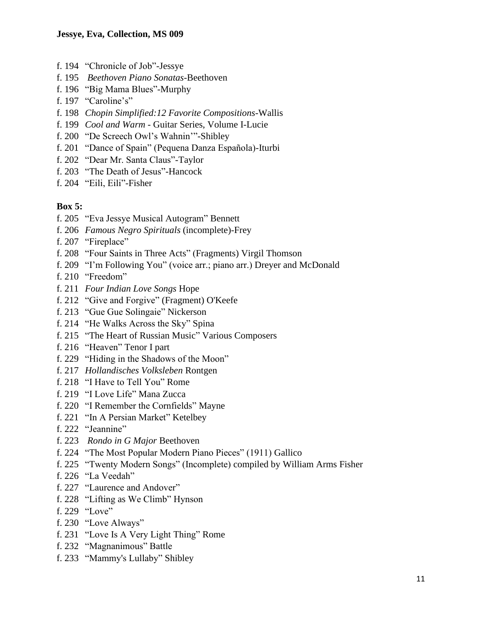- f. 194 "Chronicle of Job"-Jessye
- f. 195 *Beethoven Piano Sonatas*-Beethoven
- f. 196 "Big Mama Blues"-Murphy
- f. 197 "Caroline's"
- f. 198 *Chopin Simplified:12 Favorite Compositions*-Wallis
- f. 199 *Cool and Warm* Guitar Series, Volume I-Lucie
- f. 200 "De Screech Owl's Wahnin'"-Shibley
- f. 201 "Dance of Spain" (Pequena Danza Española)-Iturbi
- f. 202 "Dear Mr. Santa Claus"-Taylor
- f. 203 "The Death of Jesus"-Hancock
- f. 204 "Eili, Eili"-Fisher

#### **Box 5:**

- f. 205 "Eva Jessye Musical Autogram" Bennett
- f. 206 *Famous Negro Spirituals* (incomplete)-Frey
- f. 207 "Fireplace"
- f. 208 "Four Saints in Three Acts" (Fragments) Virgil Thomson
- f. 209 "I'm Following You" (voice arr.; piano arr.) Dreyer and McDonald
- f. 210 "Freedom"
- f. 211 *Four Indian Love Songs* Hope
- f. 212 "Give and Forgive" (Fragment) O'Keefe
- f. 213 "Gue Gue Solingaie" Nickerson
- f. 214 "He Walks Across the Sky" Spina
- f. 215 "The Heart of Russian Music" Various Composers
- f. 216 "Heaven" Tenor I part
- f. 229 "Hiding in the Shadows of the Moon"
- f. 217 *Hollandisches Volksleben* Rontgen
- f. 218 "I Have to Tell You" Rome
- f. 219 "I Love Life" Mana Zucca
- f. 220 "I Remember the Cornfields" Mayne
- f. 221 "In A Persian Market" Ketelbey
- f. 222 "Jeannine"
- f. 223 *Rondo in G Major* Beethoven
- f. 224 "The Most Popular Modern Piano Pieces" (1911) Gallico
- f. 225 "Twenty Modern Songs" (Incomplete) compiled by William Arms Fisher
- f. 226 "La Veedah"
- f. 227 "Laurence and Andover"
- f. 228 "Lifting as We Climb" Hynson
- f. 229 "Love"
- f. 230 "Love Always"
- f. 231 "Love Is A Very Light Thing" Rome
- f. 232 "Magnanimous" Battle
- f. 233 "Mammy's Lullaby" Shibley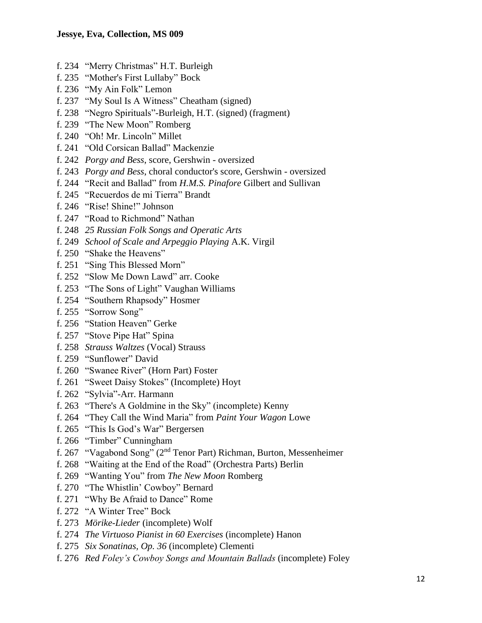- f. 234 "Merry Christmas" H.T. Burleigh
- f. 235 "Mother's First Lullaby" Bock
- f. 236 "My Ain Folk" Lemon
- f. 237 "My Soul Is A Witness" Cheatham (signed)
- f. 238 "Negro Spirituals"-Burleigh, H.T. (signed) (fragment)
- f. 239 "The New Moon" Romberg
- f. 240 "Oh! Mr. Lincoln" Millet
- f. 241 "Old Corsican Ballad" Mackenzie
- f. 242 *Porgy and Bess*, score, Gershwin oversized
- f. 243 *Porgy and Bess*, choral conductor's score, Gershwin oversized
- f. 244 "Recit and Ballad" from *H.M.S. Pinafore* Gilbert and Sullivan
- f. 245 "Recuerdos de mi Tierra" Brandt
- f. 246 "Rise! Shine!" Johnson
- f. 247 "Road to Richmond" Nathan
- f. 248 *25 Russian Folk Songs and Operatic Arts*
- f. 249 *School of Scale and Arpeggio Playing* A.K. Virgil
- f. 250 "Shake the Heavens"
- f. 251 "Sing This Blessed Morn"
- f. 252 "Slow Me Down Lawd" arr. Cooke
- f. 253 "The Sons of Light" Vaughan Williams
- f. 254 "Southern Rhapsody" Hosmer
- f. 255 "Sorrow Song"
- f. 256 "Station Heaven" Gerke
- f. 257 "Stove Pipe Hat" Spina
- f. 258 *Strauss Waltzes* (Vocal) Strauss
- f. 259 "Sunflower" David
- f. 260 "Swanee River" (Horn Part) Foster
- f. 261 "Sweet Daisy Stokes" (Incomplete) Hoyt
- f. 262 "Sylvia"-Arr. Harmann
- f. 263 "There's A Goldmine in the Sky" (incomplete) Kenny
- f. 264 "They Call the Wind Maria" from *Paint Your Wagon* Lowe
- f. 265 "This Is God's War" Bergersen
- f. 266 "Timber" Cunningham
- f. 267 "Vagabond Song" (2<sup>nd</sup> Tenor Part) Richman, Burton, Messenheimer
- f. 268 "Waiting at the End of the Road" (Orchestra Parts) Berlin
- f. 269 "Wanting You" from *The New Moon* Romberg
- f. 270 "The Whistlin' Cowboy" Bernard
- f. 271 "Why Be Afraid to Dance" Rome
- f. 272 "A Winter Tree" Bock
- f. 273 *Mörike-Lieder* (incomplete) Wolf
- f. 274 *The Virtuoso Pianist in 60 Exercises* (incomplete) Hanon
- f. 275 *Six Sonatinas, Op. 36* (incomplete) Clementi
- f. 276 *Red Foley's Cowboy Songs and Mountain Ballads* (incomplete) Foley